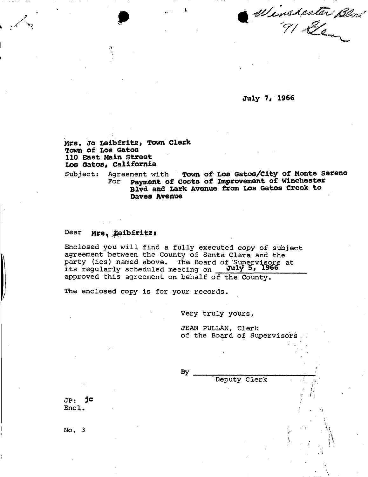Winsterter Blod

**July 7# 1966** 

**Mrs, Jo Leibfritz, Town Clerk Town of Los Gatos 110 East Main Street Los Gatos, California** 

Subject: Agreement with **Town of Los Gatos/City of Monte Sereno**  For **payment of Costs of Improvement of Winchester Blvd and Lark Avenue from Los Gatos Creek to Daves Avenue** 

## Dear **Mrs1 \$eibf ritz i**

Enclosed you will find a fully executed copy of subject agreement between the County of Santa Clara and the party (ies) named above. The Board of Supervisors at its regularly scheduled meeting on **July** *5 \**  approved this agreement on behalf of the County.

The enclosed copy is for your records.

Very truly yours,

JEAN PULLAN, Clerk of the Board of Supervisors

Deputy Clerk

 $\mathcal{I} = \mathcal{I}_{-1}$ 

 $\lambda$  ,  $\lambda$  ,  $\lambda$ 

 $By$ 

JP: jc Encl.

No. 3  $\qquad \qquad \mathbb{N}$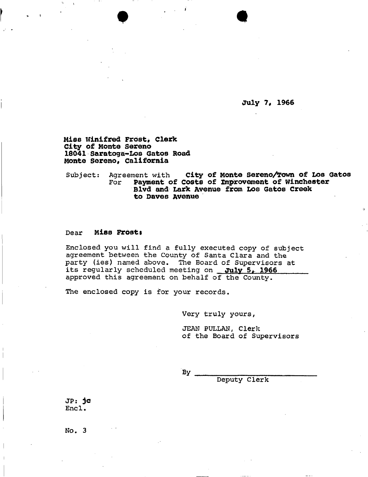**July 1\$ 1966** 

**Miss Winifred Frost, Clerk City of Monte sereno 18041 Saratoga~Los Gatos Road Monte Sereno, California** 

Subject: Agreement with **City of Monte Sereno/Town of Los Gatos**<br>For **Payment of Costs of Improvement of Winchester** For **Payment of Costs of improvement of Winchester Blvd and Lark Avenue from Los Gatos Creek to Daves Avenue** 

## Dear **Miss Frosts**

Enclosed you will find a fully executed copy of subject agreement between the County of Santa Clara and the party (ies) named above. The Board of Supervisors at its regularly scheduled meeting on **July 5, 1966**  approved this agreement on behalf of the County.

The enclosed copy is for your records.

Very truly yours,

JEAN PULLAN, Clerk of the Board of Supervisors

 $By \nightharpoonup$ 

Deputy Clerk

JP: **jo**  Encl.

No. 3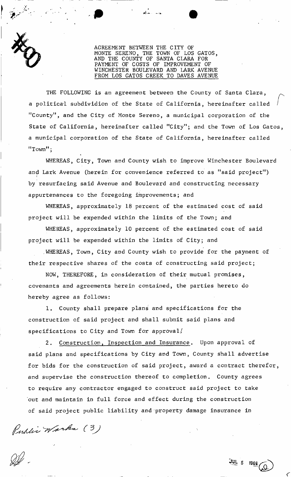

AGREEMENT BETWEEN THE CITY OF THE TOWN OF LOS GATOS, AND THE COUNTY OF SANTA CLARA FOR PAYMENT OF COSTS OF IMPROVEMENT OF WINCHESTER BOULEVARD AND LARK AVENUE FROM LOS GATOS CREEK TO DAVES AVENUE

THE FOLLOWING is an agreement between the County of Santa Clara, a political subdividion of the State of California, hereinafter called "County", and the City of Monte Sereno, a municipal corporation of the State of California, hereinafter called "City"; and the Town of Los Gatos, a municipal corporation of the State of California, hereinafter called "Town";

WHEREAS, City, Town and County wish to improve Winchester Boulevard and Lark Avenue (herein for convenience referred to as "said project") I by resurfacing said Avenue and Boulevard and constructing necessary appurtenances to the foregoing improvements; and

WHEREAS, approximately 18 percent of the estimated cost of said project will be expended within the limits of the Town; and

WHEREAS, approximately 10 percent of the estimated cost of said project will be expended within the limits of City; and

.WHEREAS, Town, City and County wish to provide for the payment of their respective shares of the costs of constructing said project;

NOW, THEREFORE, in consideration of their mutual promises, covenants and agreements herein contained, the parties hereto do hereby agree as follows:

1. County shall prepare plans and specifications for the construction of said project and shall submit said plans and specifications to City and Town for approval/

2. Construction, Inspection and Insurance. Upon approval of said plans and specifications by City and Town, County shall advertise for bids for the construction of said project, award a contract therefor, and supervise the construction thereof to completion. County agrees to require any contractor engaged to construct said project to take out and maintain in full force and effect during the construction of said project public liability and property damage insurance in

Public Warks (3)

 $\boldsymbol{\nu}$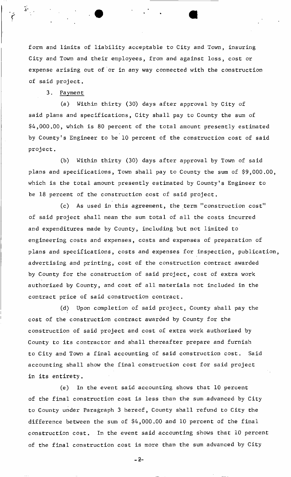form and limits of liability acceptable to City and Town, insuring City and Town and their employees, from and against loss, cost or expense arising out of or in any way connected with the construction of said project.

3. Payment

(a) Within thirty (30) days after approval by City of said plans and specifications, City shall pay to County the sum of \$4,000.00, which is 80 percent of the total amount presently estimated by County's Engineer to be 10 percent of the construction cost of said project.

(b) Within thirty (30) days after approval by Town of said plans and specifications, Town shall pay to County the sum of \$9,000.00, which is the total amount presently estimated by County's Engineer to be 18 percent of the construction cost of said project.

(c) As used in this agreement, the term "construction cost" of said project shall mean the sum total of all the costs incurred and expenditures made by County, including but not limited to engineering costs and expenses, costs and expenses of preparation of plans and specifications, costs and expenses for inspection, publication, advertising and printing, cost of the construction contract awarded by County for the construction of said project, cost of extra work authorized by County, and cost of all materials not included in the contract price of said construction contract.

(d) Upon completion of said project. County shall pay the cost of the construction contract awarded by County for the construction of said project and cost of extra work authorized by County to its contractor and shall thereafter prepare and furnish to City and Town a final accounting of said construction cost. Said accounting shall show the final construction cost for said project in its entirety.

(e) In the event said accounting shows that 10 percent of the final construction cost is less than the sum advanced by City to County under Paragraph 3 hereof, County shall refund to City the difference between the sum of \$4,000.00 and 10 percent of the final construction cost. In the event said accounting shows that 10 percent of the final construction cost is more than the sum advanced by City

 $-2-$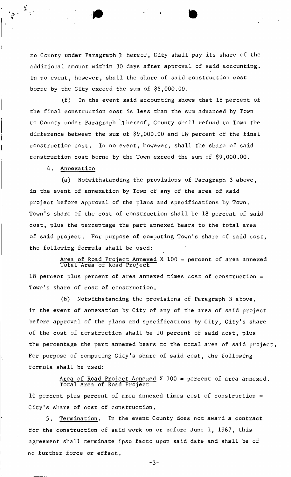to County under Paragraph 3' hereof, City shall pay its share of the additional amount within 30 days after approval of said accounting. In no event, however, shall the share of said construction cost borne by the City exceed the sum of \$5,000.00.

(f) In the event said accounting shows that 18 percent of the final construction cost is less than the sum advanced by Town to County under Paragraph 3 hereof, County shall refund to Town the difference between the sum of \$9,000.00 and 18 percent of the final construction cost. In no event, however, shall the share of said construction cost borne by the Town exceed the sum of \$9,000.00.

4. Annexation

(a) Notwithstanding the provisions of Paragraph 3 above, in the event of annexation by Town of any of the area of said project before approval of the plans and specifications by Town. Town's share of the cost of construction shall be 18 percent of said cost, plus the percentage the part annexed bears to the total area of said project. For purpose of computing Town's share of said cost, the following formula shall be used:

Area of Road Project Annexed X 100 = percent of area annexed Total Area of Road Project 18 percent plus percent of area annexed times cost of construction = Town!s share of cost of construction.

(b) Notwithstanding the provisions of Paragraph 3 above, in the event of annexation by City of any of the area of said project before approval of the plans and specifications by City, City's share of the cost of construction shall be 10 percent of said cost, plus the percentage the part annexed bears to the total area of said project. For purpose of computing City's share of said cost, the following formula shall be used:

Area of Road Project Annexed X 100 = percent of area annexed. Total Area of Road Project 10 percent plus percent of area annexed times cost of construction  $=$ City's share of cost of construction.

5. Termination. In the event County does not award a contract for the construction of said work on or before June 1, 1967, this agreement shall terminate ipso facto upon said date and shall be of no further force or effect.

 $-3-$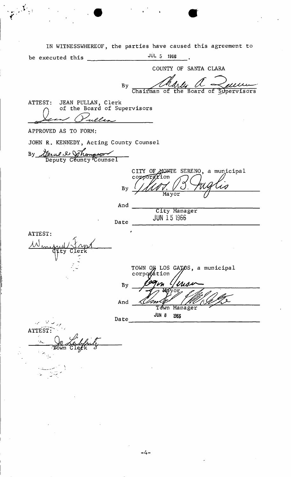IN WITNESSWHEREOF, the parties have caused this agreement to be executed this JU L 5 1966

 $\mathcal{G}^{(N)}$ 

 $\mathcal{L}_{\mathbf{r}}$ 

COUNTY OF SANTA CLARA By mu Chairman of the Board of Supervisors ATTEST: JEAN PULLAN, Clerk  $\cap$  of the Board of Supervisors ela APPROVED AS TO FORM: JOHN R. KENNEDY, Acting County Counsel By General & Johannson Deputy Counsel CITY OF MONTE SERENO, a municipal  $\frac{1}{2}$ corporation LO By Mayor And City Manager JUN 15 1966 Date ATTEST: .ty Clerk TOWN O**G** LOS GAȚOS, a municipal corpo*ration* // By m And Town Manager **JUN 8 1966** Date ATTEST: Tówn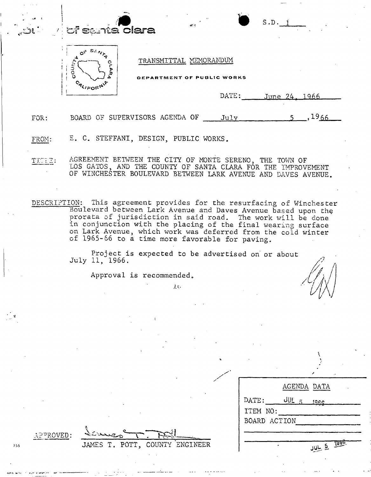## . *m*  i a *v. 'et* eanta clara



## TRANSMITTAL MEMORANDUM

PARTMENT OF PUBLIC WORKS

DATE: \_\_\_\_ June 24, 1966

S.D. i

 $5, 1966$ FOR: BOARD OF SUPERVISORS AGENDA OF July

FROM: E. C. STEFFANI, DESIGN, PUBLIC WORKS.

TITE: AGREEMENT BETWEEN THE CITY OF MONTE SERENO, THE TOWN OF LOS GATOS, AND THE COUNTY OF SANTA CLARA FÓR THE IMPROVEMENT OF WINCHESTER BOULEVARD BETWEEN LARK AVENUE AND DAVES AVENUE.

DESCRIPTION: This agreement provides for the resurfacing of Winchester Boulevard between Lark Avenue and Daves Avenue based upon the prorata of jurisdiction in said road. The work will be done in conjunction with the placing of the final wearing surface on Lark Avenue, which work was deferred from the cold winter of 1965-66 to a time more favorable for paving.

Project is expected to be advertised on or about  $\mathcal{P}$ 

Approval is recommended.

JAMES T. POTT, COUNTY ENGINEER

**i***<sup>i</sup>***,** 

|                  |  |                   | $\cdot$ |  |
|------------------|--|-------------------|---------|--|
|                  |  | AGENDA DATA       |         |  |
| $\texttt{DATE:}$ |  | JUL 5 1966        |         |  |
| ITEM NO:         |  |                   |         |  |
| BOARD ACTION     |  |                   |         |  |
|                  |  |                   |         |  |
|                  |  |                   |         |  |
| á.               |  | <u>JUL 5 1966</u> |         |  |

 $\angle$ PPROVED:

755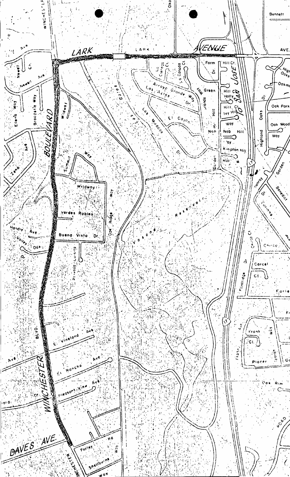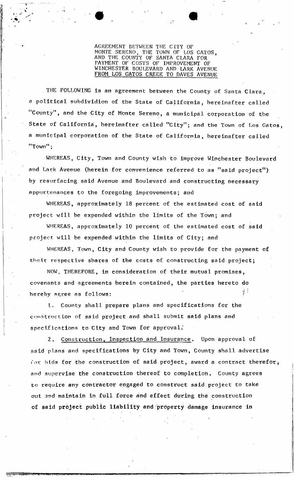AGREEMENT BETWEEN THE CITY OF<br>MONTE SERENO. THE TOWN OF LOS THE TOWN OF LOS GATOS. AND THE COUNTY OF SANTA CLARA FOR PAYMENT OF COSTS OF IMPROVEMENT OF WINCHESTER BOULEVARD AND LARK AVENUE FROM LOS GATOS CREEK TO DAVES AVENUE

THE FOLLOWING is an agreement between the County of Santa Clara, a political subdividion of the State of California, hereinafter called "County", and the City of Monte Sereno, a municipal corporation of the State of California, hereinafter called "City"; and the Town of Los Gatos, a municipal corporation of the State of California, hereinafter called "Town";

WHEREAS, City, Town and County wish to improve Winchester Boulevard and Lark Avenue (herein for convenience referred to as "said project") by resurfacing said Avenue and Boulevard and constructing necessary appurtenances to the foregoing improvements; and

WHEREAS, approximately 18 percent of the estimated cost of said project will be expended within the limits of the Town; and

WHEREAS, approximately 10 percent of the estimated cost of said project will be expended within the limits of City; and

WHEREAS, Town, City and County wish to provide for the payment of their respective shares of the costs of constructing said project;

NOW, THEREFORE, in consideration of their mutual promises, covenants and agreements herein contained, the parties hereto do hereby agree as follows:  $\mathbb{I}^{\{1\}}$ 

1. County shall prepare plans and specifications for the construction of said project and shall submit said plans and specifications to City and Town for approval/

2. Construction, Inspection and Insurance. Upon approval of said plans and specifications by City and Town, County shall advertise for bids for the construction of said project, award a contract therefor, and supervise the construction thereof to completion. County agrees to require any contractor engaged to construct said project to take out and maintain in full force and effect during the construction of said project public liability and property damage insurance in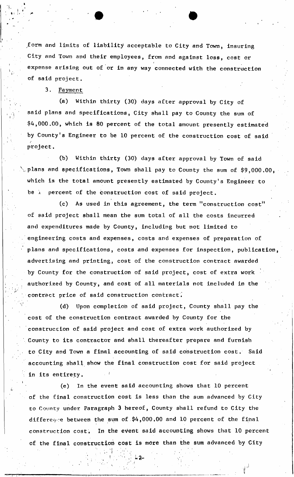form and limits of liability acceptable to City and Town, insuring City and Town and their employees, from and against loss, cost or *i*  expense arising out of or in any way connected with the construction of said project,

3. Payment

(a) Within thirty (30) days after approval by City of said plans and specifications, City shall pay to County the gum of \$4,000.00, which is 80 percent of the total amount presently estimated by County's Engineer to be 10 percent of the construction cost of said project.

(b) Within thirty (30) days after approval by Town of said  $\backslash$  plans and specifications, Town shall pay to County the sum of \$9,000.00, which is the total amount presently estimated by County's Engineer to be ) percent of the construction cost of said project.

(c) As used in this agreement, the term "construction cost" of said project shall mean the sum total of all the costs incurred and expenditures made by County, including but not limited to engineering costs and expenses, costs and expenses of preparation of plans and specifications, costs and expenses for inspection, publication, advertising and printing, cost of the construction contract awarded I  $\mathbf{f}$  county for the construction of said project, cost of extra works works works works works works works works works works works works works works works works works works works works works works works works works wor authorized by County, and cost of all materials not included in the contract price of said construction contract.

(d) Upon completion of said project, County shall pay the cost of the construction contract awarded by County for the construction of said project and cost of extra work authorized by County to its contractor and shall thereafter prepare and furnish to City and Town a final accounting of said construction cost. Said accounting shall show the final construction cost for said project in its entirety.

(e) In the event said accounting shows that 10 percent of the final cost is less than the final cost is less than the sum advanced by  $C$  than the sum advanced by  $C$  $\mathcal{L}_\text{c}$  here  $\mathcal{L}_\text{c}$  here  $\mathcal{L}_\text{c}$  here  $\mathcal{L}_\text{c}$  here  $\mathcal{L}_\text{c}$  here  $\mathcal{L}_\text{c}$  here  $\mathcal{L}_\text{c}$ different the sum of  $\mathcal{O}(\mathcal{E})$  and  $\mathcal{E}(\mathcal{E})$  and  $\mathcal{E}(\mathcal{E})$  and  $\mathcal{E}(\mathcal{E})$  and  $\mathcal{E}(\mathcal{E})$ construction cost. In the event said accounting shows that 10 percent of the final construction cost is more than the sum advanced by City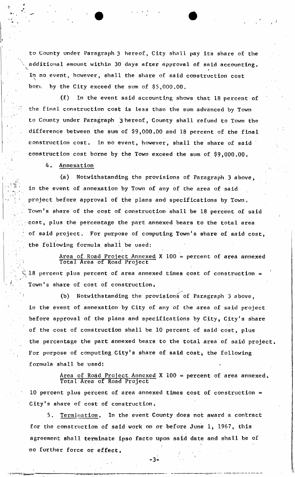to County under Paragraph 3 hereof, City shall pay its share of the additional amount within 30 days after approval of said accounting. In no event, however, shall the share of said construction cost bor. by the City exceed the sum of  $$5,000.00.$ 

(f) In the event said accounting shows that 18 percent of the final construction cost is less than the sum advanced by Town to County under Paragraph 3 hereof, County shall refund to Town the difference between the sum of \$9,000.00 and 18 percent of the final construction cost. In no event, however, shall the share of said construction cost borne by the Town exceed the sum of \$9,000.00.

4. Annexation

(a) Notwithstanding the provisions of Paragraph 3 above, in the event of annexation by Town of any of the area of said project before approval of the plans and specifications by Town. Town's share of the cost of construction shall be 18 percent of said cost, plus the percentage the part annexed bears to the total area of said project. For purpose of computing Town's share of said cost,  $\mathbf{1}$ the following formula shall be used:

1

Area of Road Project Annexed X 100 = percent of area annexed Total Area of Road Project 18 percent plus percent of area annexed times cost of construction =

(b) Notwithstanding the provisions of Paragraph 3 above, in the event of annexation by City of any of the area of said project before approval of the plans and specifications by City, City's share of the cost of construction shall be 10 percent of said cost, plus the percentage the part annexed bears to the total area of said project. For purpose of computing City's share of said cost, the following formula shall be used:

Area of Road Project Annexed X  $100$  = percent of area annexed. Total Area of Road Project 10 percent plus percent of area annexed times cost of construction =

City's share of cost of construction.

Town's share of cost of construction 4

Termination. In the event County does not award a contract 5. for the construction of said work on or before June  $1$ , 1967, this agreement shall terminate ipso facto upon said date and shall be of  $\mathbf{1}$ no further force or effect.

 $-3-$